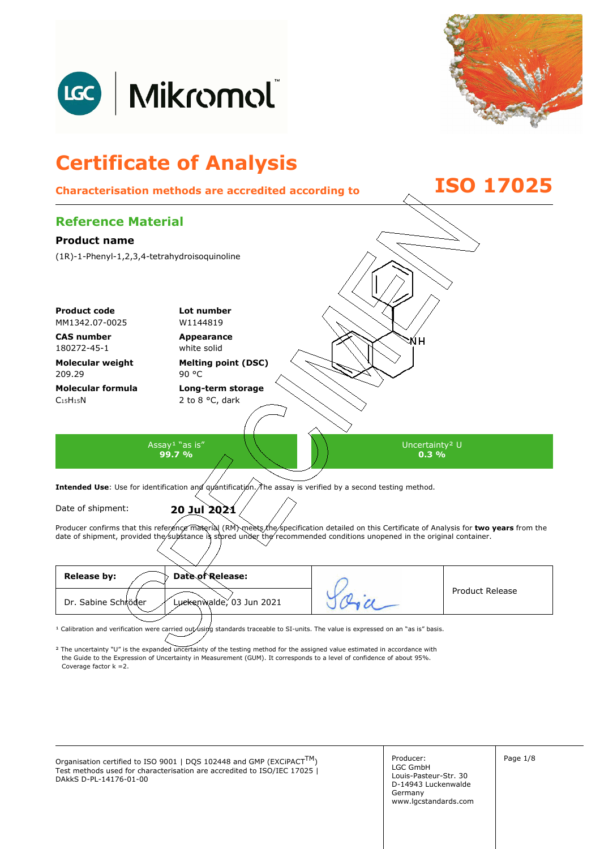



## **Certificate of Analysis Characterisation methods are accredited according to ISO 17025 Reference Material Product name**  (1R)-1-Phenyl-1,2,3,4-tetrahydroisoquinoline **Product code Lot number** MM1342.07-0025 W1144819 **CAS number Appearance**  ŃН 180272-45-1 white solid **Molecular weight Melting point (DSC)**  209.29 90 °C **Molecular formula Long-term storage**   $C_{15}H_{15}N$ 2 to 8 °C, dark Assay<sup>1</sup> "as is" Uncertainty² U **99.7 % 0.3 %**  Intended Use: Use for identification and quantification. The assay is verified by a second testing method. Date of shipment: **20 Jul 2021**

Producer confirms that this reference material (RM) meets the specification detailed on this Certificate of Analysis for two years from the date of shipment, provided the substance is stored under the recommended conditions unopened in the original container.

| Date of Release:<br><b>Release by:</b>          |                        |
|-------------------------------------------------|------------------------|
| Dr. Sabine Schröder<br>Luckenwalde, 03 Jun 2021 | <b>Product Release</b> |
|                                                 |                        |

<sup>1</sup> Calibration and verification were carried out using standards traceable to SI-units. The value is expressed on an "as is" basis.

² The uncertainty "U" is the expanded uncertainty of the testing method for the assigned value estimated in accordance with Coverage factor k =2. the Guide to the Expression of Uncertainty in Measurement (GUM). It corresponds to a level of confidence of about 95%.

Organisation certified to ISO 9001 | DQS 102448 and GMP (EXCiPACT<sup>TM</sup>)  $\left\{\n\begin{array}{ccc}\n\text{Production certified to ISO 9001} & \text{DQS 102448 and GMP (EXCiPACT<sup>TM</sup>)\n\end{array}\n\right\}$ Test methods used for characterisation are accredited to ISO/IEC 17025 | DAkkS D-PL-14176-01-00

Producer: LGC GmbH Louis-Pasteur-Str. 30 D-14943 Luckenwalde Germany www.lgcstandards.com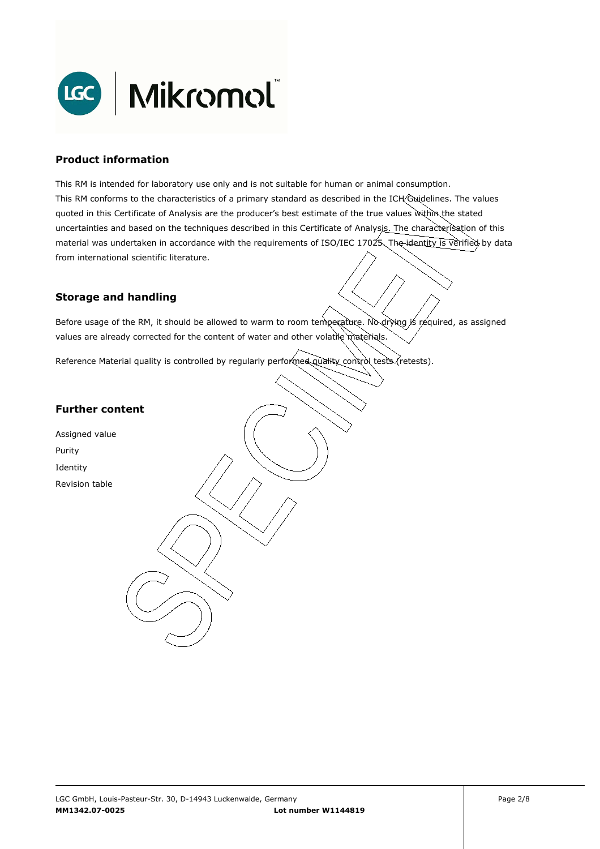

#### **Product information**

This RM is intended for laboratory use only and is not suitable for human or animal consumption. This RM conforms to the characteristics of a primary standard as described in the ICH Guidelines. The values quoted in this Certificate of Analysis are the producer's best estimate of the true values within the stated uncertainties and based on the techniques described in this Certificate of Analysis. The characterisation of this material was undertaken in accordance with the requirements of ISO/IEC 17025. The identity is verified by data from international scientific literature.

### **Storage and handling**

Before usage of the RM, it should be allowed to warm to room temperature. No drying is required, as assigned values are already corrected for the content of water and other volatile materials.

Reference Material quality is controlled by regularly performed quality control tests (retests).

#### **Further content**

Assigned value Purity Identity Revision table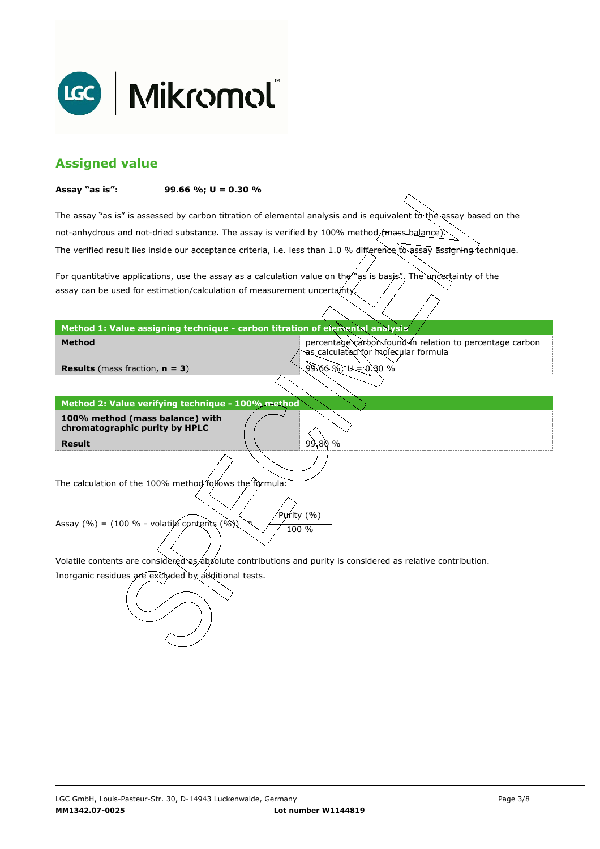

## **Assigned value**

#### **Assay "as is": 99.66 %; U = 0.30 %**

The assay "as is" is assessed by carbon titration of elemental analysis and is equivalent to the assay based on the The verified result lies inside our acceptance criteria, i.e. less than 1.0 % difference to assay assigning technique. not-anhydrous and not-dried substance. The assay is verified by 100% method/mass-balance)

For quantitative applications, use the assay as a calculation value on the  $\gamma$  as is basis". The uncertainty of the assay can be used for estimation/calculation of measurement uncertainty.

**Method 1: Value assigning technique - carbon titration of elemental analysis** 

percentage carbon found in relation to percentage carbon as calculated for molecular formula

9.66%; U = 0.30 %

99.80 %

**Results** (mass fraction, **n = 3**)

**Method** 

**Result Method 2: Value verifying technique - 100% method 100% method (mass balance) with chromatographic purity by HPLC** 

The calculation of the 100% method follows the formula:

Purity (%) Assay (%) = (100 % - volatile contents (%)  $\chi$  / 100 %

Volatile contents are considered as absolute contributions and purity is considered as relative contribution.

Inorganic residues are excluded by additional tests.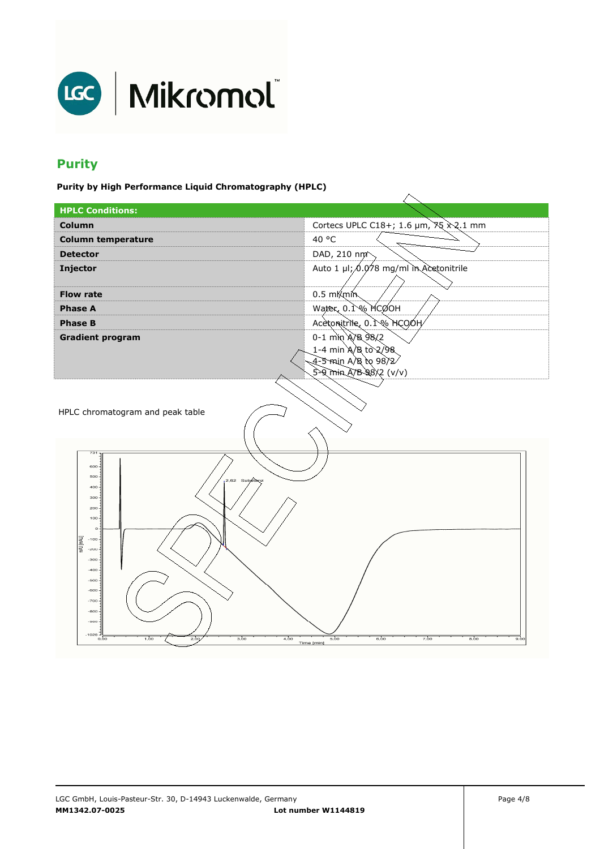

# **Purity**

**Purity by High Performance Liquid Chromatography (HPLC)** 

| ---- <i>------</i> -                 |                                                                  |  |  |
|--------------------------------------|------------------------------------------------------------------|--|--|
| <b>HPLC Conditions:</b>              |                                                                  |  |  |
| Column                               | Cortecs UPLC C18+; 1.6 $\mu$ m, $\frac{35}{2}$ $\frac{20}{1}$ mm |  |  |
| <b>Column temperature</b>            | 40 °C                                                            |  |  |
| <b>Detector</b>                      | DAD, 210 nm <sup>2</sup>                                         |  |  |
| Injector                             | Auto 1 µl; 0.078 mg/ml in Acetonitrile                           |  |  |
|                                      |                                                                  |  |  |
| <b>Flow rate</b>                     | $0.5 \text{ mK}$ min                                             |  |  |
| <b>Phase A</b>                       | Water, $0.1\%$ MCOOH                                             |  |  |
| <b>Phase B</b>                       | Acetonitrile, 0.1% HCOOH                                         |  |  |
| <b>Gradient program</b>              | $0 - 1$ min A/B 98/2                                             |  |  |
|                                      | 1-4 min A/B to 2/98                                              |  |  |
|                                      | 4-5 min A/B to 98/2/                                             |  |  |
|                                      | $5 - 9$ min A/B 98/2 (v/v)                                       |  |  |
|                                      |                                                                  |  |  |
|                                      |                                                                  |  |  |
| HPLC chromatogram and peak table     |                                                                  |  |  |
|                                      |                                                                  |  |  |
|                                      |                                                                  |  |  |
| 731                                  |                                                                  |  |  |
| $600 -$<br>500                       |                                                                  |  |  |
| 2.62 Substanz<br>400                 |                                                                  |  |  |
| 300                                  |                                                                  |  |  |
| 200<br>$100 -$                       |                                                                  |  |  |
| $_{\rm O}$ .                         |                                                                  |  |  |
| [mAU]<br>mAU<br>$-100.$              |                                                                  |  |  |
| $-200$                               |                                                                  |  |  |
| $-300$<br>$-400$                     |                                                                  |  |  |
| $-500$                               |                                                                  |  |  |
| $-600$                               |                                                                  |  |  |
| $-700$                               |                                                                  |  |  |
| $-800$<br>$-800$                     |                                                                  |  |  |
| $-1028 -$                            |                                                                  |  |  |
| 1,00<br>3.00<br>0,00<br>2,00<br>4,00 | 6,00<br>8.00<br>5,00<br>7,00<br>9,00<br>Time [min]               |  |  |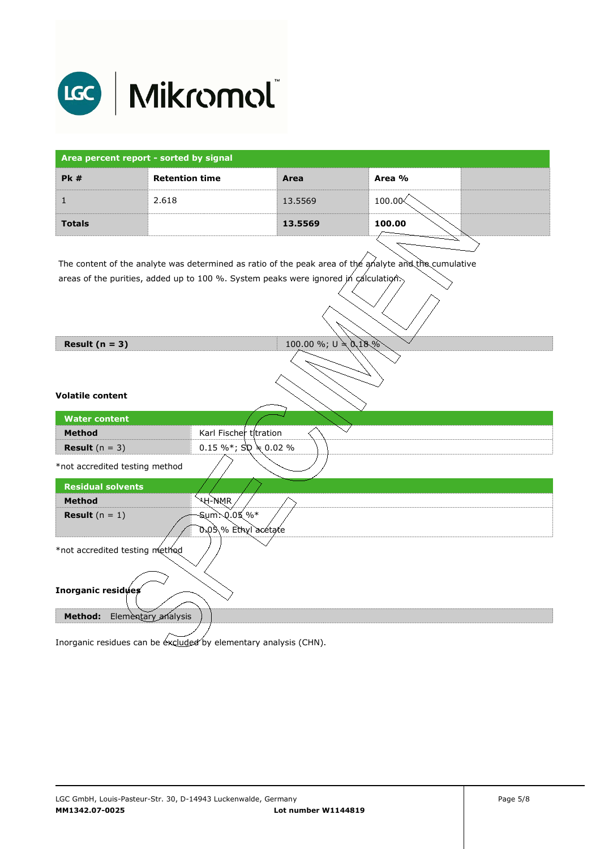

| Area percent report - sorted by signal          |                                                                                                       |                        |            |  |
|-------------------------------------------------|-------------------------------------------------------------------------------------------------------|------------------------|------------|--|
| <b>Pk #</b>                                     | <b>Retention time</b>                                                                                 | Area                   | Area %     |  |
| $\mathbf{1}$                                    | 2.618                                                                                                 | 13.5569                | $100.00\&$ |  |
| <b>Totals</b>                                   |                                                                                                       | 13.5569                | 100.00     |  |
|                                                 |                                                                                                       |                        |            |  |
|                                                 | The content of the analyte was determined as ratio of the peak area of the analyte and the cumulative |                        |            |  |
|                                                 | areas of the purities, added up to 100 %. System peaks were ignored in calculation.                   |                        |            |  |
| Result $(n = 3)$                                |                                                                                                       | 100.00 %; $U = 0.18\%$ |            |  |
| <b>Volatile content</b><br><b>Water content</b> |                                                                                                       |                        |            |  |
| <b>Method</b>                                   | Karl Fischer titration                                                                                |                        |            |  |
| <b>Result</b> $(n = 3)$                         | 0.15 %*; $\text{SD} \neq 0.02$ %                                                                      |                        |            |  |
| *not accredited testing method                  |                                                                                                       |                        |            |  |
| <b>Residual solvents</b>                        |                                                                                                       |                        |            |  |
| <b>Method</b>                                   | <b>AH-WWK</b>                                                                                         |                        |            |  |
| <b>Result</b> $(n = 1)$                         | Sum: 0.05 %*<br>0.05 % Ethyl acetate                                                                  |                        |            |  |
| *not accredited testing method                  |                                                                                                       |                        |            |  |
| Inorganic residues                              |                                                                                                       |                        |            |  |
| <b>Method:</b>                                  | Elementary analysis                                                                                   |                        |            |  |

Inorganic residues can be excluded by elementary analysis (CHN).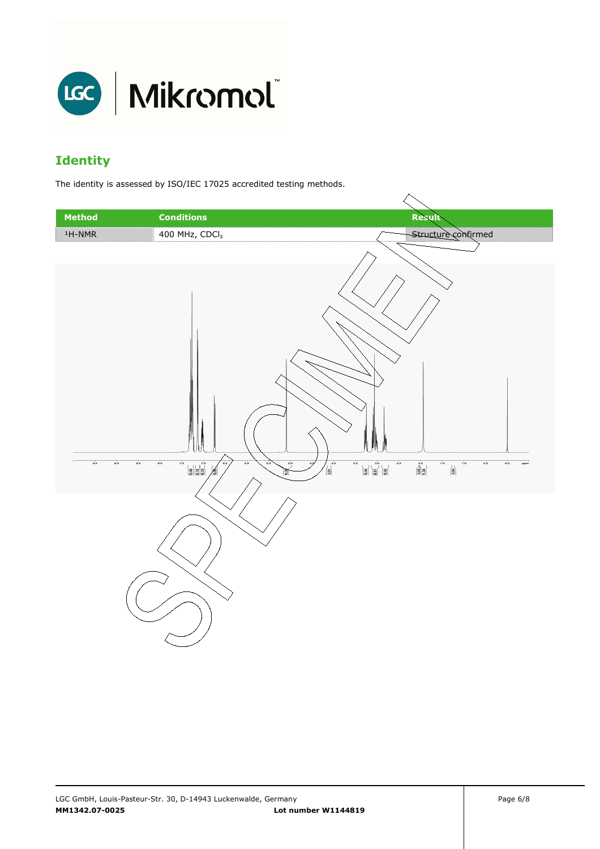

# **Identity**

The identity is assessed by ISO/IEC 17025 accredited testing methods.

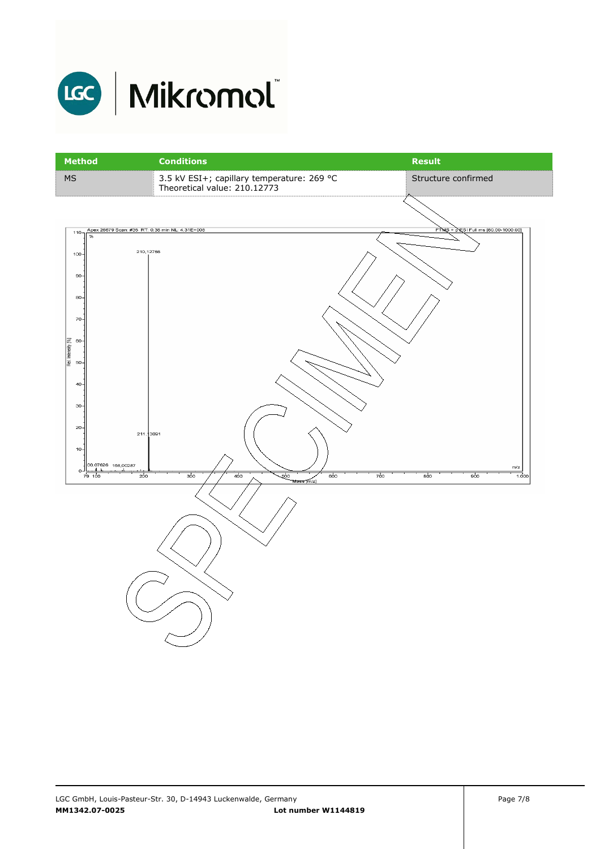